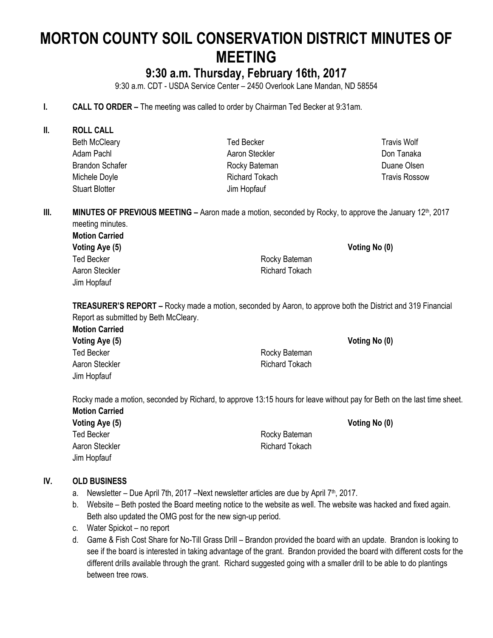# **MORTON COUNTY SOIL CONSERVATION DISTRICT MINUTES OF MEETING**

# **9:30 a.m. Thursday, February 16th, 2017**

9:30 a.m. CDT - USDA Service Center – 2450 Overlook Lane Mandan, ND 58554

- **I. CALL TO ORDER –** The meeting was called to order by Chairman Ted Becker at 9:31am.
- **II. ROLL CALL** Beth McCleary Adam Pachl Brandon Schafer Michele Doyle Stuart Blotter Ted Becker Aaron Steckler Rocky Bateman Richard Tokach Jim Hopfauf

**III. MINUTES OF PREVIOUS MEETING** – Aaron made a motion, seconded by Rocky, to approve the January 12<sup>th</sup>, 2017 meeting minutes.

**Motion Carried Voting Aye (5) Voting No (0)** Ted Becker **Rocky** Bateman Aaron Steckler **Richard Tokach** Jim Hopfauf

**TREASURER'S REPORT –** Rocky made a motion, seconded by Aaron, to approve both the District and 319 Financial Report as submitted by Beth McCleary.

**Motion Carried Voting Aye (5) Voting No (0)** Ted Becker **Rocky** Bateman Aaron Steckler **Richard Tokach** Jim Hopfauf

Rocky made a motion, seconded by Richard, to approve 13:15 hours for leave without pay for Beth on the last time sheet. **Motion Carried**

| Voting Aye (5)    | Voting No (0)  |  |
|-------------------|----------------|--|
| <b>Ted Becker</b> | Rocky Bateman  |  |
| Aaron Steckler    | Richard Tokach |  |
| Jim Hopfauf       |                |  |

# **IV. OLD BUSINESS**

- a. Newsletter Due April 7th, 2017 Next newsletter articles are due by April  $7<sup>th</sup>$ , 2017.
- b. Website Beth posted the Board meeting notice to the website as well. The website was hacked and fixed again. Beth also updated the OMG post for the new sign-up period.
- c. Water Spickot no report
- d. Game & Fish Cost Share for No-Till Grass Drill Brandon provided the board with an update. Brandon is looking to see if the board is interested in taking advantage of the grant. Brandon provided the board with different costs for the different drills available through the grant. Richard suggested going with a smaller drill to be able to do plantings between tree rows.

Travis Wolf Don Tanaka Duane Olsen Travis Rossow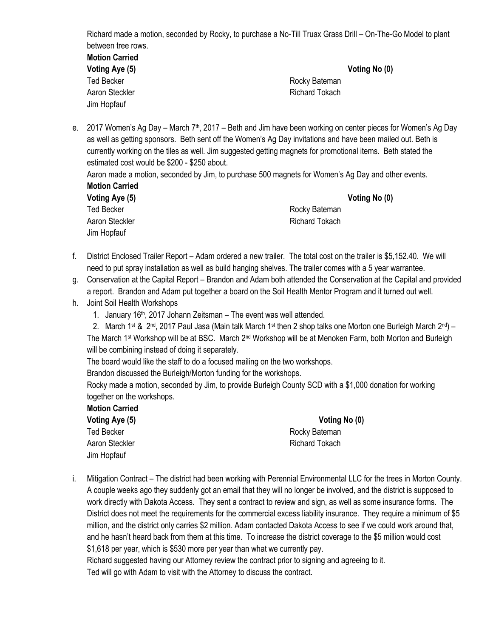Richard made a motion, seconded by Rocky, to purchase a No-Till Truax Grass Drill – On-The-Go Model to plant between tree rows. **Motion Carried**

| IIIVUUI VUITIVU |                |               |
|-----------------|----------------|---------------|
| Voting Aye (5)  |                | Voting No (0) |
| Ted Becker      | Rocky Bateman  |               |
| Aaron Steckler  | Richard Tokach |               |
| Jim Hopfauf     |                |               |

e. 2017 Women's Ag Day – March  $7<sup>th</sup>$ , 2017 – Beth and Jim have been working on center pieces for Women's Ag Day as well as getting sponsors. Beth sent off the Women's Ag Day invitations and have been mailed out. Beth is currently working on the tiles as well. Jim suggested getting magnets for promotional items. Beth stated the estimated cost would be \$200 - \$250 about.

Aaron made a motion, seconded by Jim, to purchase 500 magnets for Women's Ag Day and other events. **Motion Carried**

| Voting Aye (5) |  |
|----------------|--|
| Ted Becker     |  |
| Aaron Steckler |  |
| Jim Hopfauf    |  |

**Voting Aye (5) Voting No (0)** Rocky Bateman Richard Tokach

- f. District Enclosed Trailer Report Adam ordered a new trailer. The total cost on the trailer is \$5,152.40. We will need to put spray installation as well as build hanging shelves. The trailer comes with a 5 year warrantee.
- g. Conservation at the Capital Report Brandon and Adam both attended the Conservation at the Capital and provided a report. Brandon and Adam put together a board on the Soil Health Mentor Program and it turned out well.
- h. Joint Soil Health Workshops
	- 1. January 16th, 2017 Johann Zeitsman The event was well attended.
	- 2. March 1<sup>st</sup> & 2<sup>nd</sup>, 2017 Paul Jasa (Main talk March 1<sup>st</sup> then 2 shop talks one Morton one Burleigh March 2<sup>nd</sup>) The March 1st Workshop will be at BSC. March 2nd Workshop will be at Menoken Farm, both Morton and Burleigh will be combining instead of doing it separately.

The board would like the staff to do a focused mailing on the two workshops.

Brandon discussed the Burleigh/Morton funding for the workshops.

Rocky made a motion, seconded by Jim, to provide Burleigh County SCD with a \$1,000 donation for working together on the workshops.

**Motion Carried**

**Voting Aye (5) Voting No (0)** Ted Becker **Rocky** Bateman Aaron Steckler **Richard Tokach** Richard Tokach Jim Hopfauf

i. Mitigation Contract – The district had been working with Perennial Environmental LLC for the trees in Morton County. A couple weeks ago they suddenly got an email that they will no longer be involved, and the district is supposed to work directly with Dakota Access. They sent a contract to review and sign, as well as some insurance forms. The District does not meet the requirements for the commercial excess liability insurance. They require a minimum of \$5 million, and the district only carries \$2 million. Adam contacted Dakota Access to see if we could work around that, and he hasn't heard back from them at this time. To increase the district coverage to the \$5 million would cost \$1,618 per year, which is \$530 more per year than what we currently pay. Richard suggested having our Attorney review the contract prior to signing and agreeing to it. Ted will go with Adam to visit with the Attorney to discuss the contract.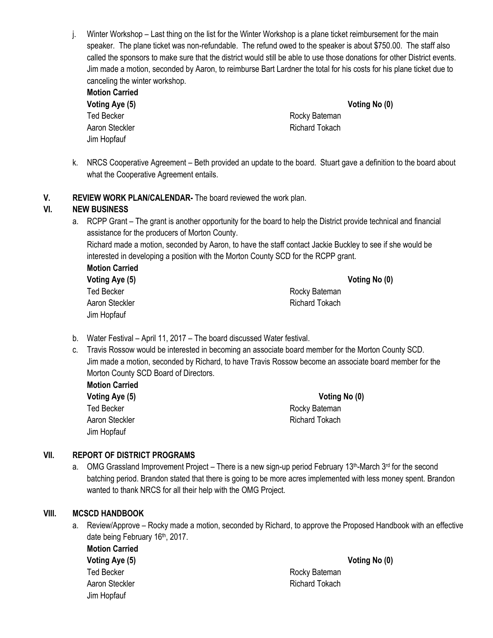j. Winter Workshop – Last thing on the list for the Winter Workshop is a plane ticket reimbursement for the main speaker. The plane ticket was non-refundable. The refund owed to the speaker is about \$750.00. The staff also called the sponsors to make sure that the district would still be able to use those donations for other District events. Jim made a motion, seconded by Aaron, to reimburse Bart Lardner the total for his costs for his plane ticket due to canceling the winter workshop.

| <b>Motion Carried</b> |                |               |
|-----------------------|----------------|---------------|
| Voting Aye (5)        |                | Voting No (0) |
| Ted Becker            | Rocky Bateman  |               |
| Aaron Steckler        | Richard Tokach |               |
| Jim Hopfauf           |                |               |

- k. NRCS Cooperative Agreement Beth provided an update to the board. Stuart gave a definition to the board about what the Cooperative Agreement entails.
- **V. REVIEW WORK PLAN/CALENDAR-** The board reviewed the work plan.

# **VI. NEW BUSINESS**

a. RCPP Grant – The grant is another opportunity for the board to help the District provide technical and financial assistance for the producers of Morton County.

Richard made a motion, seconded by Aaron, to have the staff contact Jackie Buckley to see if she would be interested in developing a position with the Morton County SCD for the RCPP grant.

| <b>Motion Carried</b> |  |
|-----------------------|--|
| Voting Aye (5)        |  |
| <b>Ted Becker</b>     |  |
| Aaron Steckler        |  |
| Jim Hopfauf           |  |

**Voting Aye (5) Voting No (0)** Rocky Bateman Richard Tokach

- b. Water Festival April 11, 2017 The board discussed Water festival.
- c. Travis Rossow would be interested in becoming an associate board member for the Morton County SCD. Jim made a motion, seconded by Richard, to have Travis Rossow become an associate board member for the Morton County SCD Board of Directors.
	- **Motion Carried** Ted Becker **Rocky** Bateman Aaron Steckler **Richard Tokach** Richard Tokach Jim Hopfauf

**Voting Aye (5) Voting No (0)**

# **VII. REPORT OF DISTRICT PROGRAMS**

a. OMG Grassland Improvement Project – There is a new sign-up period February 13<sup>th</sup>-March 3<sup>rd</sup> for the second batching period. Brandon stated that there is going to be more acres implemented with less money spent. Brandon wanted to thank NRCS for all their help with the OMG Project.

#### **VIII. MCSCD HANDBOOK**

a. Review/Approve – Rocky made a motion, seconded by Richard, to approve the Proposed Handbook with an effective date being February 16<sup>th</sup>, 2017.

**Motion Carried Voting Aye (5) Voting No (0)** Ted Becker **Rocky** Bateman Aaron Steckler **Richard Tokach** Richard Tokach Jim Hopfauf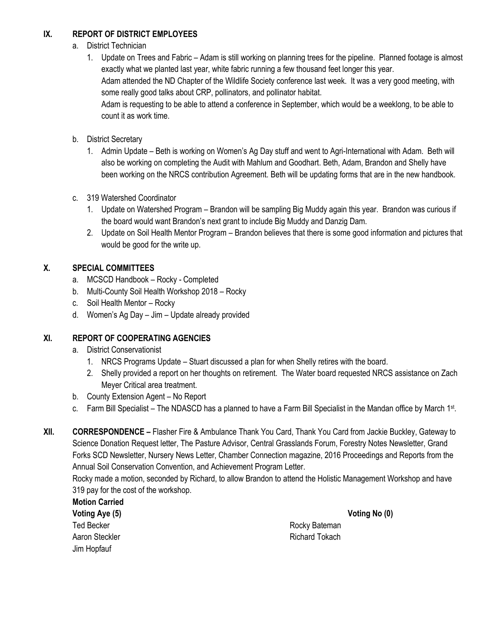# **IX. REPORT OF DISTRICT EMPLOYEES**

- a. District Technician
	- 1. Update on Trees and Fabric Adam is still working on planning trees for the pipeline. Planned footage is almost exactly what we planted last year, white fabric running a few thousand feet longer this year. Adam attended the ND Chapter of the Wildlife Society conference last week. It was a very good meeting, with some really good talks about CRP, pollinators, and pollinator habitat. Adam is requesting to be able to attend a conference in September, which would be a weeklong, to be able to count it as work time.
- b. District Secretary
	- 1. Admin Update Beth is working on Women's Ag Day stuff and went to Agri-International with Adam. Beth will also be working on completing the Audit with Mahlum and Goodhart. Beth, Adam, Brandon and Shelly have been working on the NRCS contribution Agreement. Beth will be updating forms that are in the new handbook.
- c. 319 Watershed Coordinator
	- 1. Update on Watershed Program Brandon will be sampling Big Muddy again this year. Brandon was curious if the board would want Brandon's next grant to include Big Muddy and Danzig Dam.
	- 2. Update on Soil Health Mentor Program Brandon believes that there is some good information and pictures that would be good for the write up.

# **X. SPECIAL COMMITTEES**

- a. MCSCD Handbook Rocky Completed
- b. Multi-County Soil Health Workshop 2018 Rocky
- c. Soil Health Mentor Rocky
- d. Women's Ag Day Jim Update already provided

# **XI. REPORT OF COOPERATING AGENCIES**

- a. District Conservationist
	- 1. NRCS Programs Update Stuart discussed a plan for when Shelly retires with the board.
	- 2. Shelly provided a report on her thoughts on retirement. The Water board requested NRCS assistance on Zach Meyer Critical area treatment.
- b. County Extension Agent No Report
- c. Farm Bill Specialist The NDASCD has a planned to have a Farm Bill Specialist in the Mandan office by March 1st.
- **XII. CORRESPONDENCE –** Flasher Fire & Ambulance Thank You Card, Thank You Card from Jackie Buckley, Gateway to Science Donation Request letter, The Pasture Advisor, Central Grasslands Forum, Forestry Notes Newsletter, Grand Forks SCD Newsletter, Nursery News Letter, Chamber Connection magazine, 2016 Proceedings and Reports from the Annual Soil Conservation Convention, and Achievement Program Letter.

Rocky made a motion, seconded by Richard, to allow Brandon to attend the Holistic Management Workshop and have 319 pay for the cost of the workshop.

# **Motion Carried**

**Voting Aye (5) Voting No (0)** Ted Becker **Rocky** Bateman Jim Hopfauf

Aaron Steckler **Richard Tokach** Richard Tokach